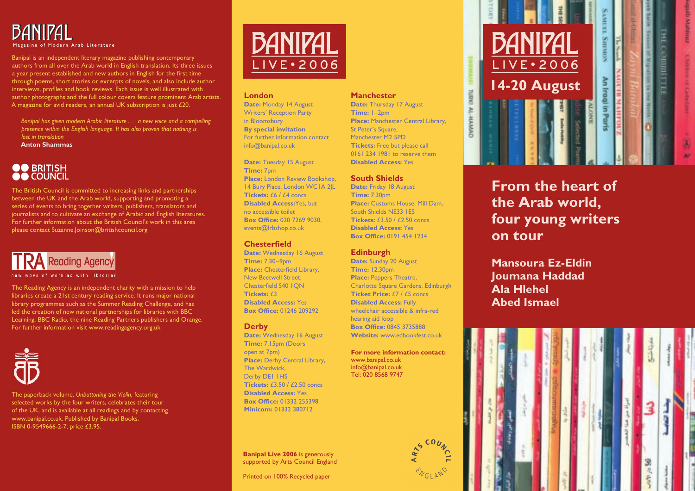

Banipal is an independent literary magazine publishing contemporary authors from all over the Arab world in English translation. Its three issues a year present established and new authors in English for the first time through poems, short stories or excerpts of novels, and also include author interviews, profiles and book reviews. Each issue is well illustrated with author photographs and the full colour covers feature prominent Arab artists. A magazine for avid readers, an annual UK subscription is just £20.

Banipal has given modern Arabic literature . . . a new voice and a compelling presence within the English language. It has also proven that nothing is lost in translation **Anton Shammas** 

## **OO** BRITISH

The British Council is committed to increasing links and partnerships between the UK and the Arab world, supporting and promoting a series of events to bring together writers, publishers, translators and journalists and to cultivate an exchange of Arabic and English literatures. For further information about the British Council's work in this area please contact Suzanne. Joinson@britishcouncil.org



new ways of working with libraries

The Reading Agency is an independent charity with a mission to help libraries create a 21st century reading service. It runs major national library programmes such as the Summer Reading Challenge, and has led the creation of new national partnerships for libraries with BBC Learning, BBC Radio, the nine Reading Partners publishers and Orange. For further information visit www.readingagency.org.uk



The paperback volume, Unbuttoning the Violin, featuring selected works by the four writers, celebrates their tour of the UK, and is available at all readings and by contacting www.banipal.co.uk. Published by Banipal Books, ISBN 0-9549666-2-7, price £3.95.



#### **London**

Date: Monday 14 August **Writers' Reception Party** in Bloomsbury **By special invitation** For further information contact  $info@$ banipal.co.uk

Date: Tuesday 15 August Time: 7<sub>pm</sub> Place: London Review Bookshop. 14 Bury Place, London WCIA 2|L Tickets:  $f \frac{f}{f}$  /  $f \frac{f}{f}$  concs **Disabled Access: Yes but** no accessible toilet **Box Office: 020 7269 9030.** events@lrbshop.co.uk

#### **Chesterfield**

Date: Wednesday 16 August **Time: 7.30-9pm** Place: Chesterfield Library. New Beetwell Street. Chesterfield S40 LON Tickets:  $f3$ **Disabled Access: Yes Box Office: 01246 209292** 

#### **Derby**

Date: Wednesday 16 August Time: 7.15pm (Doors open at 7pm) Place: Derby Central Library. The Wardwick. Derby DEI IHS Tickets:  $f3.50 / f7.50$  concs **Disabled Access: Yes Box Office: 01332 255398** Minicom: 01332 380712

**Banipal Live 2006** is generously supported by Arts Council England

Printed on 100% Recycled paper

#### **Manchester**

Date: Thursday 17 August Time:  $I-2$ <sub>pm</sub> Place: Manchester Central Library. St Peter's Square, Manchester M<sub>2</sub> 5PD Tickets: Free but please call 0161 234 1981 to reserve them **Disabled Access: Yes** 

#### **South Shields**

Date: Friday 18 August Time: 7.30pm Place: Customs House, Mill Dam. South Shields NF33 LFS Tickets:  $f350/f750const$ **Disabled Access: Yes Box Office: 0191 454 1234** 

#### **Edinburgh**

Date: Sunday 20 August **Time: 12.30pm Place: Peppers Theatre.** Charlotte Square Gardens, Edinburgh **Ticket Price: £7 / £5 concs Disabled Access: Fully** wheelchair accessible & infra-red hearing aid loop **Box Office: 0845 3735888** Website: www.edbookfest.co.uk

For more information contact: www.banipal.co.uk  $info@banial.co.uk$ Tel: 020 8568 9747



### From the heart of the Arab world, four young writers on tour

Mansoura Ez-Eldin **Ioumana Haddad Ala Hiehel Abed Ismael**